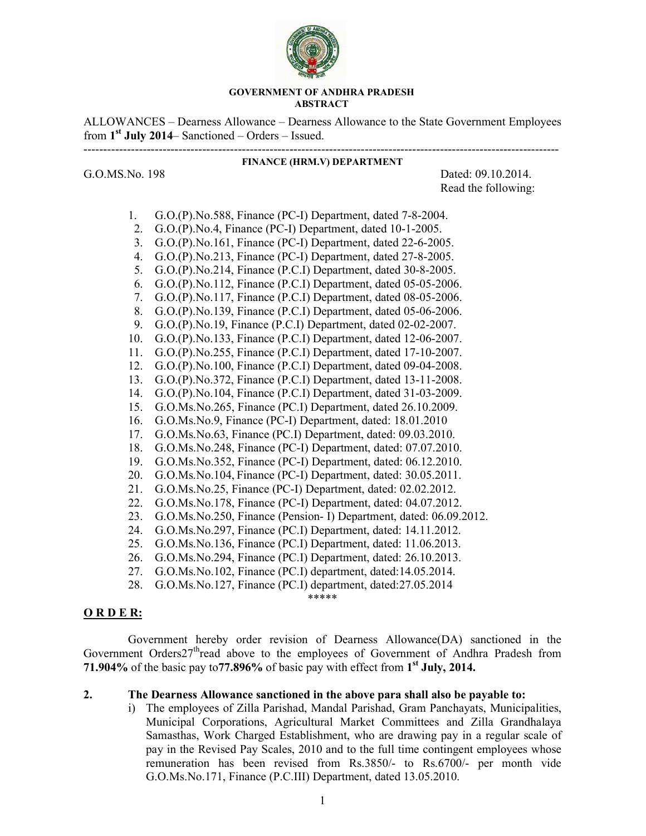

#### **GOVERNMENT OF ANDHRA PRADESH ABSTRACT**

ALLOWANCES – Dearness Allowance – Dearness Allowance to the State Government Employees from **1st July 2014**– Sanctioned – Orders – Issued.

------------------------------------------------------------------------------------------------------------------------

**FINANCE (HRM.V) DEPARTMENT** 

G.O.MS.No. 198 Dated: 09.10.2014. Read the following:

- 1. G.O.(P).No.588, Finance (PC-I) Department, dated 7-8-2004.
- 2. G.O.(P).No.4, Finance (PC-I) Department, dated 10-1-2005.
- 3. G.O.(P).No.161, Finance (PC-I) Department, dated 22-6-2005.
- 4. G.O.(P).No.213, Finance (PC-I) Department, dated 27-8-2005.
- 5. G.O.(P).No.214, Finance (P.C.I) Department, dated 30-8-2005.
- 6. G.O.(P).No.112, Finance (P.C.I) Department, dated 05-05-2006.
- 7. G.O.(P).No.117, Finance (P.C.I) Department, dated 08-05-2006.
- 8. G.O.(P).No.139, Finance (P.C.I) Department, dated 05-06-2006.
- 9. G.O.(P).No.19, Finance (P.C.I) Department, dated 02-02-2007.
- 10. G.O.(P).No.133, Finance (P.C.I) Department, dated 12-06-2007.
- 11. G.O.(P).No.255, Finance (P.C.I) Department, dated 17-10-2007.
- 12. G.O.(P).No.100, Finance (P.C.I) Department, dated 09-04-2008.
- 13. G.O.(P).No.372, Finance (P.C.I) Department, dated 13-11-2008.
- 14. G.O.(P).No.104, Finance (P.C.I) Department, dated 31-03-2009.
- 15. G.O.Ms.No.265, Finance (PC.I) Department, dated 26.10.2009.
- 16. G.O.Ms.No.9, Finance (PC-I) Department, dated: 18.01.2010
- 17. G.O.Ms.No.63, Finance (PC.I) Department, dated: 09.03.2010.
- 18. G.O.Ms.No.248, Finance (PC-I) Department, dated: 07.07.2010.
- 19. G.O.Ms.No.352, Finance (PC-I) Department, dated: 06.12.2010.
- 20. G.O.Ms.No.104, Finance (PC-I) Department, dated: 30.05.2011.
- 21. G.O.Ms.No.25, Finance (PC-I) Department, dated: 02.02.2012.
- 22. G.O.Ms.No.178, Finance (PC-I) Department, dated: 04.07.2012.
- 23. G.O.Ms.No.250, Finance (Pension- I) Department, dated: 06.09.2012.
- 24. G.O.Ms.No.297, Finance (PC.I) Department, dated: 14.11.2012.
- 25. G.O.Ms.No.136, Finance (PC.I) Department, dated: 11.06.2013.
- 26. G.O.Ms.No.294, Finance (PC.I) Department, dated: 26.10.2013.
- 27. G.O.Ms.No.102, Finance (PC.I) department, dated:14.05.2014.
- 28. G.O.Ms.No.127, Finance (PC.I) department, dated:27.05.2014

\*\*\*\*\*

#### **O R D E R:**

 Government hereby order revision of Dearness Allowance(DA) sanctioned in the Government Orders27<sup>th</sup>read above to the employees of Government of Andhra Pradesh from **71.904%** of the basic pay to**77.896%** of basic pay with effect from **1st July, 2014.**

## **2. The Dearness Allowance sanctioned in the above para shall also be payable to:**

i) The employees of Zilla Parishad, Mandal Parishad, Gram Panchayats, Municipalities, Municipal Corporations, Agricultural Market Committees and Zilla Grandhalaya Samasthas, Work Charged Establishment, who are drawing pay in a regular scale of pay in the Revised Pay Scales, 2010 and to the full time contingent employees whose remuneration has been revised from Rs.3850/- to Rs.6700/- per month vide G.O.Ms.No.171, Finance (P.C.III) Department, dated 13.05.2010.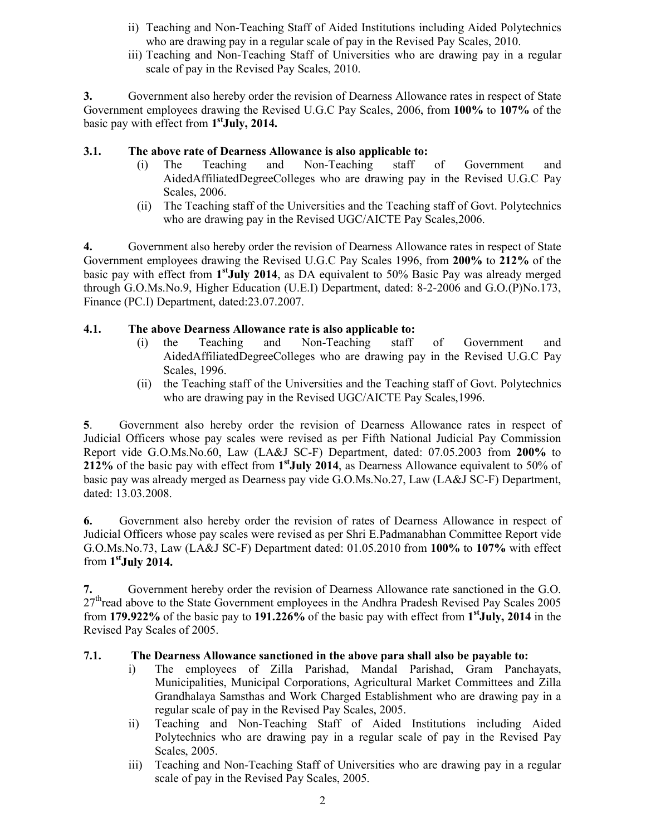- ii) Teaching and Non-Teaching Staff of Aided Institutions including Aided Polytechnics who are drawing pay in a regular scale of pay in the Revised Pay Scales, 2010.
- iii) Teaching and Non-Teaching Staff of Universities who are drawing pay in a regular scale of pay in the Revised Pay Scales, 2010.

**3.** Government also hereby order the revision of Dearness Allowance rates in respect of State Government employees drawing the Revised U.G.C Pay Scales, 2006, from **100%** to **107%** of the basic pay with effect from **1stJuly, 2014.** 

# **3.1. The above rate of Dearness Allowance is also applicable to:**

- (i) The Teaching and Non-Teaching staff of Government and AidedAffiliatedDegreeColleges who are drawing pay in the Revised U.G.C Pay Scales, 2006.
- (ii) The Teaching staff of the Universities and the Teaching staff of Govt. Polytechnics who are drawing pay in the Revised UGC/AICTE Pay Scales,2006.

**4.** Government also hereby order the revision of Dearness Allowance rates in respect of State Government employees drawing the Revised U.G.C Pay Scales 1996, from **200%** to **212%** of the basic pay with effect from **1stJuly 2014**, as DA equivalent to 50% Basic Pay was already merged through G.O.Ms.No.9, Higher Education (U.E.I) Department, dated: 8-2-2006 and G.O.(P)No.173, Finance (PC.I) Department, dated:23.07.2007.

# **4.1. The above Dearness Allowance rate is also applicable to:**

- (i) the Teaching and Non-Teaching staff of Government and AidedAffiliatedDegreeColleges who are drawing pay in the Revised U.G.C Pay Scales, 1996.
- (ii) the Teaching staff of the Universities and the Teaching staff of Govt. Polytechnics who are drawing pay in the Revised UGC/AICTE Pay Scales,1996.

**5**. Government also hereby order the revision of Dearness Allowance rates in respect of Judicial Officers whose pay scales were revised as per Fifth National Judicial Pay Commission Report vide G.O.Ms.No.60, Law (LA&J SC-F) Department, dated: 07.05.2003 from **200%** to **212%** of the basic pay with effect from **1stJuly 2014**, as Dearness Allowance equivalent to 50% of basic pay was already merged as Dearness pay vide G.O.Ms.No.27, Law (LA&J SC-F) Department, dated: 13.03.2008.

**6.** Government also hereby order the revision of rates of Dearness Allowance in respect of Judicial Officers whose pay scales were revised as per Shri E.Padmanabhan Committee Report vide G.O.Ms.No.73, Law (LA&J SC-F) Department dated: 01.05.2010 from **100%** to **107%** with effect from **1stJuly 2014.** 

**7.** Government hereby order the revision of Dearness Allowance rate sanctioned in the G.O. 27<sup>th</sup>read above to the State Government employees in the Andhra Pradesh Revised Pay Scales 2005 from **179.922%** of the basic pay to **191.226%** of the basic pay with effect from **1stJuly, 2014** in the Revised Pay Scales of 2005.

# **7.1. The Dearness Allowance sanctioned in the above para shall also be payable to:**

- i) The employees of Zilla Parishad, Mandal Parishad, Gram Panchayats, Municipalities, Municipal Corporations, Agricultural Market Committees and Zilla Grandhalaya Samsthas and Work Charged Establishment who are drawing pay in a regular scale of pay in the Revised Pay Scales, 2005.
- ii) Teaching and Non-Teaching Staff of Aided Institutions including Aided Polytechnics who are drawing pay in a regular scale of pay in the Revised Pay Scales, 2005.
- iii) Teaching and Non-Teaching Staff of Universities who are drawing pay in a regular scale of pay in the Revised Pay Scales, 2005.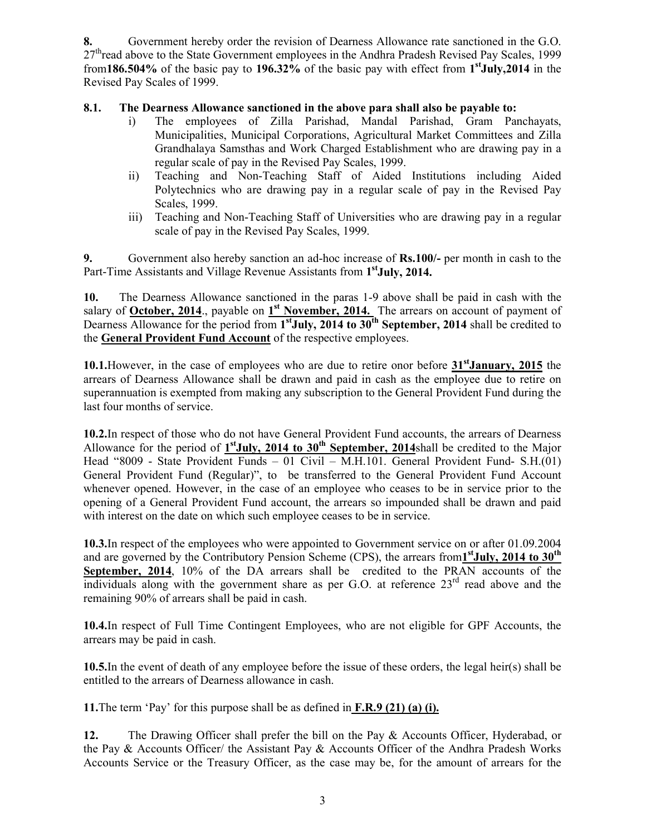**8.** Government hereby order the revision of Dearness Allowance rate sanctioned in the G.O.  $27<sup>th</sup>$ read above to the State Government employees in the Andhra Pradesh Revised Pay Scales, 1999 from**186.504%** of the basic pay to **196.32%** of the basic pay with effect from **1stJuly,2014** in the Revised Pay Scales of 1999.

# **8.1. The Dearness Allowance sanctioned in the above para shall also be payable to:**

- i) The employees of Zilla Parishad, Mandal Parishad, Gram Panchayats, Municipalities, Municipal Corporations, Agricultural Market Committees and Zilla Grandhalaya Samsthas and Work Charged Establishment who are drawing pay in a regular scale of pay in the Revised Pay Scales, 1999.
- ii) Teaching and Non-Teaching Staff of Aided Institutions including Aided Polytechnics who are drawing pay in a regular scale of pay in the Revised Pay Scales, 1999.
- iii) Teaching and Non-Teaching Staff of Universities who are drawing pay in a regular scale of pay in the Revised Pay Scales, 1999.

**9.** Government also hereby sanction an ad-hoc increase of **Rs.100/-** per month in cash to the Part-Time Assistants and Village Revenue Assistants from 1<sup>st</sup>July, 2014.

**10.** The Dearness Allowance sanctioned in the paras 1-9 above shall be paid in cash with the salary of **October, 2014**., payable on  $1^{st}$  **November, 2014.** The arrears on account of payment of Dearness Allowance for the period from 1<sup>st</sup>July, 2014 to 30<sup>th</sup> September, 2014 shall be credited to the **General Provident Fund Account** of the respective employees.

**10.1.**However, in the case of employees who are due to retire onor before **31stJanuary, 2015** the arrears of Dearness Allowance shall be drawn and paid in cash as the employee due to retire on superannuation is exempted from making any subscription to the General Provident Fund during the last four months of service.

**10.2.**In respect of those who do not have General Provident Fund accounts, the arrears of Dearness Allowance for the period of  $1^{st}$ **July, 2014 to 30<sup>th</sup> September, 2014**shall be credited to the Major Head "8009 - State Provident Funds – 01 Civil – M.H.101. General Provident Fund- S.H.(01) General Provident Fund (Regular)", to be transferred to the General Provident Fund Account whenever opened. However, in the case of an employee who ceases to be in service prior to the opening of a General Provident Fund account, the arrears so impounded shall be drawn and paid with interest on the date on which such employee ceases to be in service.

**10.3.**In respect of the employees who were appointed to Government service on or after 01.09.2004 and are governed by the Contributory Pension Scheme (CPS), the arrears from**1stJuly, 2014 to 30th September, 2014**, 10% of the DA arrears shall be credited to the PRAN accounts of the individuals along with the government share as per G.O. at reference  $23<sup>rd</sup>$  read above and the remaining 90% of arrears shall be paid in cash.

**10.4.**In respect of Full Time Contingent Employees, who are not eligible for GPF Accounts, the arrears may be paid in cash.

**10.5.**In the event of death of any employee before the issue of these orders, the legal heir(s) shall be entitled to the arrears of Dearness allowance in cash.

**11.**The term 'Pay' for this purpose shall be as defined in **F.R.9 (21) (a) (i).**

**12.** The Drawing Officer shall prefer the bill on the Pay & Accounts Officer, Hyderabad, or the Pay & Accounts Officer/ the Assistant Pay & Accounts Officer of the Andhra Pradesh Works Accounts Service or the Treasury Officer, as the case may be, for the amount of arrears for the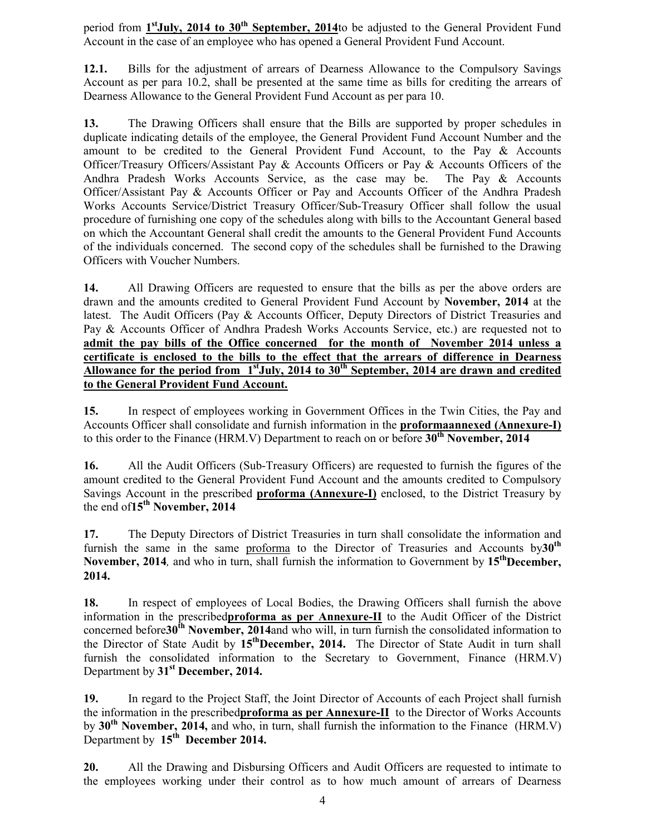period from 1<sup>st</sup>July, 2014 to 30<sup>th</sup> September, 2014</u>to be adjusted to the General Provident Fund Account in the case of an employee who has opened a General Provident Fund Account.

**12.1.** Bills for the adjustment of arrears of Dearness Allowance to the Compulsory Savings Account as per para 10.2, shall be presented at the same time as bills for crediting the arrears of Dearness Allowance to the General Provident Fund Account as per para 10.

**13.** The Drawing Officers shall ensure that the Bills are supported by proper schedules in duplicate indicating details of the employee, the General Provident Fund Account Number and the amount to be credited to the General Provident Fund Account, to the Pay & Accounts Officer/Treasury Officers/Assistant Pay & Accounts Officers or Pay & Accounts Officers of the Andhra Pradesh Works Accounts Service, as the case may be. The Pay & Accounts Officer/Assistant Pay & Accounts Officer or Pay and Accounts Officer of the Andhra Pradesh Works Accounts Service/District Treasury Officer/Sub-Treasury Officer shall follow the usual procedure of furnishing one copy of the schedules along with bills to the Accountant General based on which the Accountant General shall credit the amounts to the General Provident Fund Accounts of the individuals concerned. The second copy of the schedules shall be furnished to the Drawing Officers with Voucher Numbers.

**14.** All Drawing Officers are requested to ensure that the bills as per the above orders are drawn and the amounts credited to General Provident Fund Account by **November, 2014** at the latest. The Audit Officers (Pay & Accounts Officer, Deputy Directors of District Treasuries and Pay & Accounts Officer of Andhra Pradesh Works Accounts Service, etc.) are requested not to **admit the pay bills of the Office concerned for the month of November 2014 unless a certificate is enclosed to the bills to the effect that the arrears of difference in Dearness**  Allowance for the period from 1<sup>st</sup>July, 2014 to 30<sup>th</sup> September, 2014 are drawn and credited **to the General Provident Fund Account.**

**15.** In respect of employees working in Government Offices in the Twin Cities, the Pay and Accounts Officer shall consolidate and furnish information in the **proformaannexed (Annexure-I)** to this order to the Finance (HRM.V) Department to reach on or before 30<sup>th</sup> November, 2014

**16.** All the Audit Officers (Sub-Treasury Officers) are requested to furnish the figures of the amount credited to the General Provident Fund Account and the amounts credited to Compulsory Savings Account in the prescribed **proforma (Annexure-I)** enclosed, to the District Treasury by the end of**15th November, 2014** 

**17.** The Deputy Directors of District Treasuries in turn shall consolidate the information and furnish the same in the same proforma to the Director of Treasuries and Accounts by 30<sup>th</sup> **November, 2014**, and who in turn, shall furnish the information to Government by 15<sup>th</sup>December, **2014.** 

**18.** In respect of employees of Local Bodies, the Drawing Officers shall furnish the above information in the prescribed**proforma as per Annexure-II** to the Audit Officer of the District concerned before**30<sup>th</sup>** November, 2014and who will, in turn furnish the consolidated information to the Director of State Audit by **15thDecember, 2014.** The Director of State Audit in turn shall furnish the consolidated information to the Secretary to Government, Finance (HRM.V) Department by **31st December, 2014.**

**19.** In regard to the Project Staff, the Joint Director of Accounts of each Project shall furnish the information in the prescribed**proforma as per Annexure-II** to the Director of Works Accounts by **30th November, 2014,** and who, in turn, shall furnish the information to the Finance (HRM.V) Department by 15<sup>th</sup> December 2014.

**20.** All the Drawing and Disbursing Officers and Audit Officers are requested to intimate to the employees working under their control as to how much amount of arrears of Dearness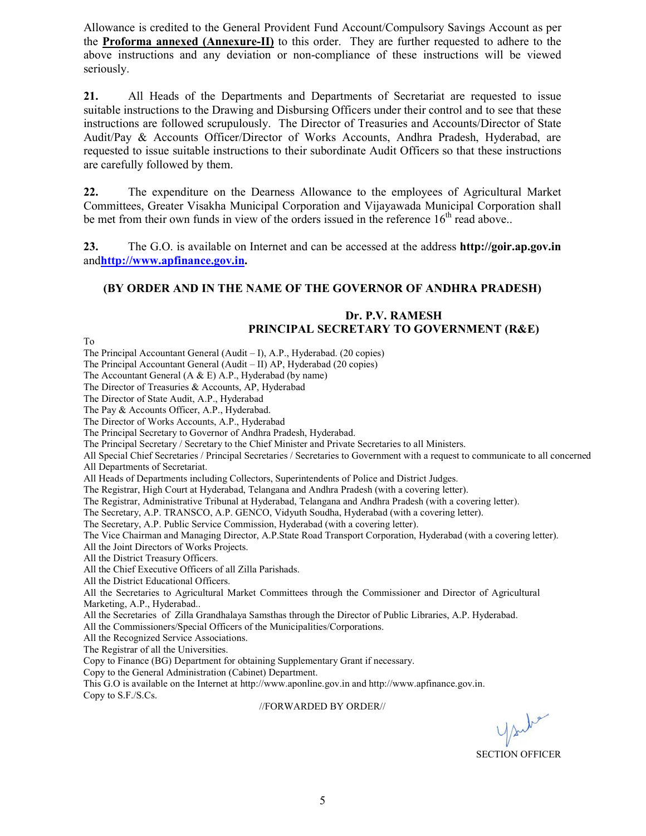Allowance is credited to the General Provident Fund Account/Compulsory Savings Account as per the **Proforma annexed (Annexure-II)** to this order. They are further requested to adhere to the above instructions and any deviation or non-compliance of these instructions will be viewed seriously.

**21.** All Heads of the Departments and Departments of Secretariat are requested to issue suitable instructions to the Drawing and Disbursing Officers under their control and to see that these instructions are followed scrupulously. The Director of Treasuries and Accounts/Director of State Audit/Pay & Accounts Officer/Director of Works Accounts, Andhra Pradesh, Hyderabad, are requested to issue suitable instructions to their subordinate Audit Officers so that these instructions are carefully followed by them.

**22.** The expenditure on the Dearness Allowance to the employees of Agricultural Market Committees, Greater Visakha Municipal Corporation and Vijayawada Municipal Corporation shall be met from their own funds in view of the orders issued in the reference  $16<sup>th</sup>$  read above..

**23.** The G.O. is available on Internet and can be accessed at the address **http://goir.ap.gov.in**  and**http://www.apfinance.gov.in.** 

#### **(BY ORDER AND IN THE NAME OF THE GOVERNOR OF ANDHRA PRADESH)**

## **Dr. P.V. RAMESH PRINCIPAL SECRETARY TO GOVERNMENT (R&E)**

To

The Principal Accountant General (Audit – I), A.P., Hyderabad. (20 copies)

The Principal Accountant General (Audit – II) AP, Hyderabad (20 copies)

The Accountant General (A & E) A.P., Hyderabad (by name)

The Director of Treasuries & Accounts, AP, Hyderabad

The Director of State Audit, A.P., Hyderabad

The Pay & Accounts Officer, A.P., Hyderabad.

The Director of Works Accounts, A.P., Hyderabad

The Principal Secretary to Governor of Andhra Pradesh, Hyderabad.

The Principal Secretary / Secretary to the Chief Minister and Private Secretaries to all Ministers.

All Special Chief Secretaries / Principal Secretaries / Secretaries to Government with a request to communicate to all concerned All Departments of Secretariat.

All Heads of Departments including Collectors, Superintendents of Police and District Judges.

The Registrar, High Court at Hyderabad, Telangana and Andhra Pradesh (with a covering letter).

The Registrar, Administrative Tribunal at Hyderabad, Telangana and Andhra Pradesh (with a covering letter).

The Secretary, A.P. TRANSCO, A.P. GENCO, Vidyuth Soudha, Hyderabad (with a covering letter).

The Secretary, A.P. Public Service Commission, Hyderabad (with a covering letter).

The Vice Chairman and Managing Director, A.P.State Road Transport Corporation, Hyderabad (with a covering letter). All the Joint Directors of Works Projects.

All the District Treasury Officers.

All the Chief Executive Officers of all Zilla Parishads.

All the District Educational Officers.

All the Secretaries to Agricultural Market Committees through the Commissioner and Director of Agricultural Marketing, A.P., Hyderabad..

All the Secretaries of Zilla Grandhalaya Samsthas through the Director of Public Libraries, A.P. Hyderabad.

All the Commissioners/Special Officers of the Municipalities/Corporations.

All the Recognized Service Associations.

The Registrar of all the Universities.

Copy to Finance (BG) Department for obtaining Supplementary Grant if necessary.

Copy to the General Administration (Cabinet) Department.

This G.O is available on the Internet at http://www.aponline.gov.in and http://www.apfinance.gov.in. Copy to S.F./S.Cs.

#### //FORWARDED BY ORDER//

SECTION OFFICER